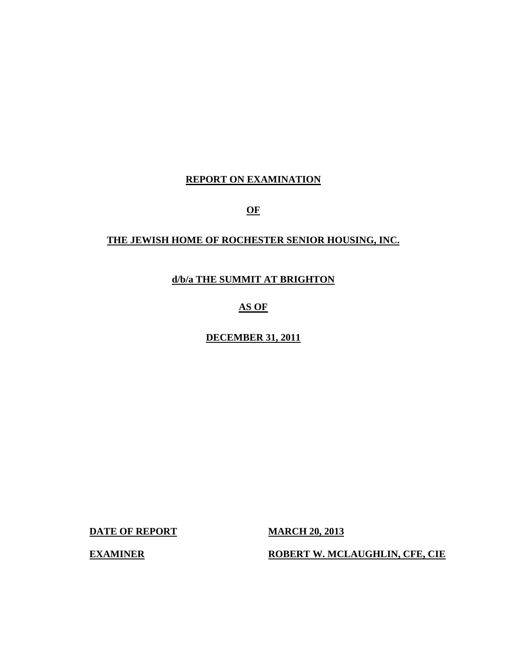## **REPORT ON EXAMINATION**

**OF** 

# **THE JEWISH HOME OF ROCHESTER SENIOR HOUSING, INC.**

**d/b/a THE SUMMIT AT BRIGHTON** 

# **AS OF**

**DECEMBER 31, 2011** 

**DATE OF REPORT MARCH 20, 2013** 

**EXAMINER ROBERT W. MCLAUGHLIN, CFE, CIE**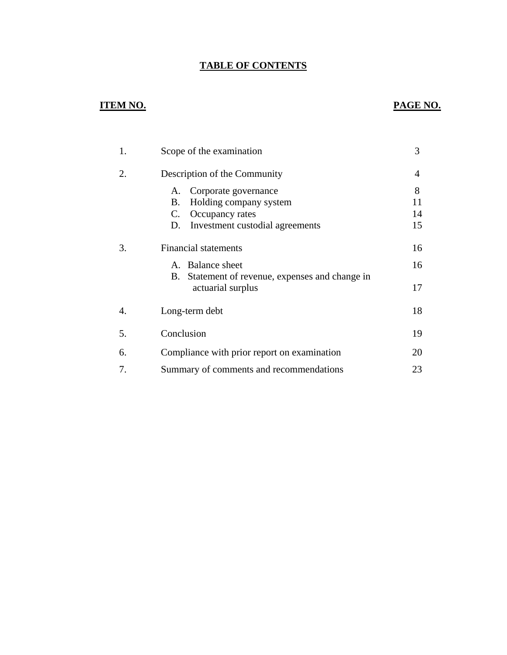# **TABLE OF CONTENTS**

# **ITEM NO. PAGE NO.**

| 1. | Scope of the examination                                                                                                     | 3                   |
|----|------------------------------------------------------------------------------------------------------------------------------|---------------------|
| 2. | Description of the Community                                                                                                 | 4                   |
|    | Corporate governance<br>А.<br>Holding company system<br>В.<br>C.<br>Occupancy rates<br>D.<br>Investment custodial agreements | 8<br>11<br>14<br>15 |
| 3. | <b>Financial statements</b><br>A. Balance sheet                                                                              | 16<br>16            |
|    | Statement of revenue, expenses and change in<br>В.<br>actuarial surplus                                                      | 17                  |
| 4. | Long-term debt                                                                                                               | 18                  |
| 5. | Conclusion                                                                                                                   | 19                  |
| 6. | Compliance with prior report on examination                                                                                  | 20                  |
| 7. | Summary of comments and recommendations                                                                                      | 23                  |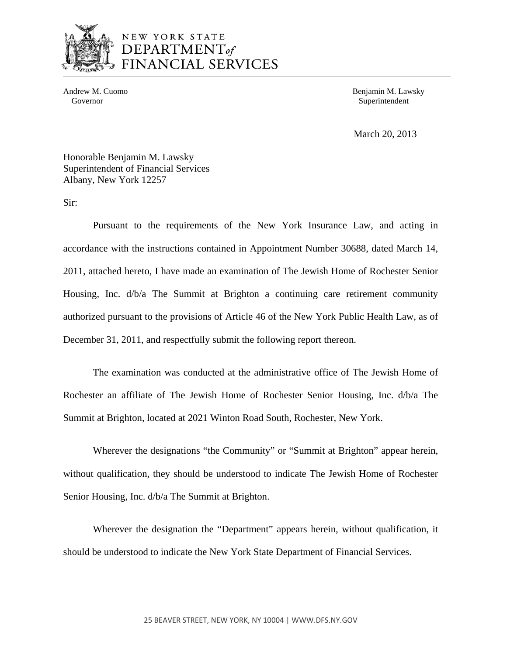

# NEW YORK STATE DEPARTMENT<sub>of</sub> FINANCIAL SERVICES

Governor Superintendent Superintendent Superintendent Superintendent Superintendent Superintendent Superintendent Superintendent Superintendent Superintendent Superintendent Superintendent Superintendent Superintendent Sup

Andrew M. Cuomo **Benjamin M. Lawsky** 

March 20, 2013

Honorable Benjamin M. Lawsky Superintendent of Financial Services Albany, New York 12257

Sir:

Pursuant to the requirements of the New York Insurance Law, and acting in accordance with the instructions contained in Appointment Number 30688, dated March 14, 2011, attached hereto, I have made an examination of The Jewish Home of Rochester Senior Housing, Inc. d/b/a The Summit at Brighton a continuing care retirement community authorized pursuant to the provisions of Article 46 of the New York Public Health Law, as of December 31, 2011, and respectfully submit the following report thereon.

The examination was conducted at the administrative office of The Jewish Home of Rochester an affiliate of The Jewish Home of Rochester Senior Housing, Inc. d/b/a The Summit at Brighton, located at 2021 Winton Road South, Rochester, New York.

Wherever the designations "the Community" or "Summit at Brighton" appear herein, without qualification, they should be understood to indicate The Jewish Home of Rochester Senior Housing, Inc. d/b/a The Summit at Brighton.

Wherever the designation the "Department" appears herein, without qualification, it should be understood to indicate the New York State Department of Financial Services.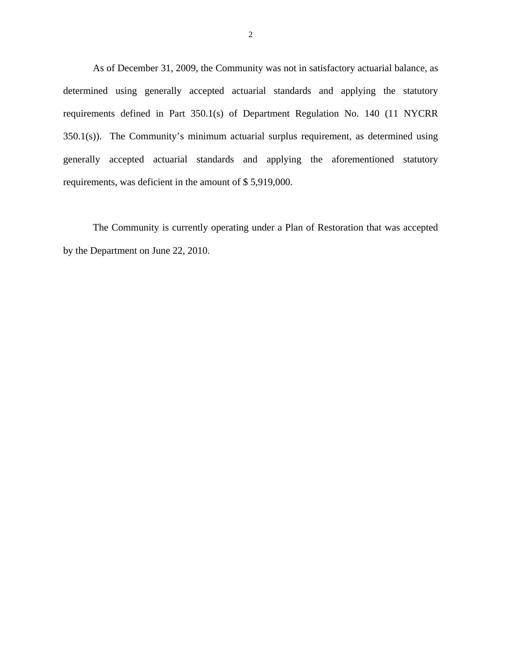As of December 31, 2009, the Community was not in satisfactory actuarial balance, as determined using generally accepted actuarial standards and applying the statutory requirements defined in Part 350.1(s) of Department Regulation No. 140 (11 NYCRR 350.1(s)). The Community's minimum actuarial surplus requirement, as determined using generally accepted actuarial standards and applying the aforementioned statutory requirements, was deficient in the amount of \$ 5,919,000.

The Community is currently operating under a Plan of Restoration that was accepted by the Department on June 22, 2010.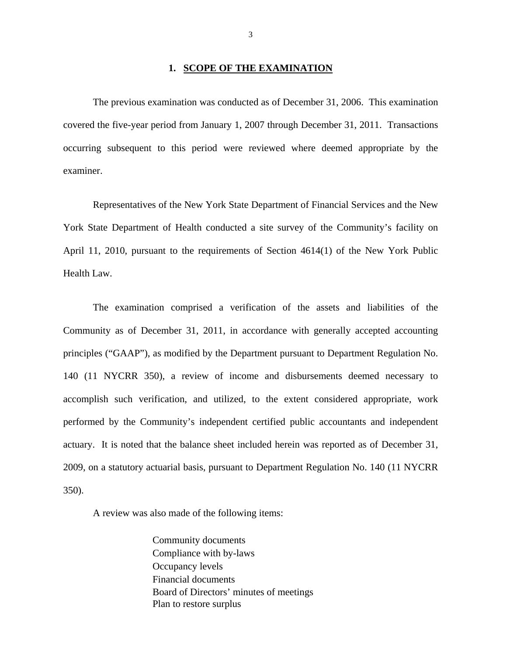## **1. SCOPE OF THE EXAMINATION**

The previous examination was conducted as of December 31, 2006. This examination covered the five-year period from January 1, 2007 through December 31, 2011. Transactions occurring subsequent to this period were reviewed where deemed appropriate by the examiner.

Representatives of the New York State Department of Financial Services and the New York State Department of Health conducted a site survey of the Community's facility on April 11, 2010, pursuant to the requirements of Section 4614(1) of the New York Public Health Law.

The examination comprised a verification of the assets and liabilities of the Community as of December 31, 2011, in accordance with generally accepted accounting principles ("GAAP"), as modified by the Department pursuant to Department Regulation No. 140 (11 NYCRR 350), a review of income and disbursements deemed necessary to accomplish such verification, and utilized, to the extent considered appropriate, work performed by the Community's independent certified public accountants and independent actuary. It is noted that the balance sheet included herein was reported as of December 31, 2009, on a statutory actuarial basis, pursuant to Department Regulation No. 140 (11 NYCRR 350).

A review was also made of the following items:

Community documents Compliance with by-laws Occupancy levels Financial documents Board of Directors' minutes of meetings Plan to restore surplus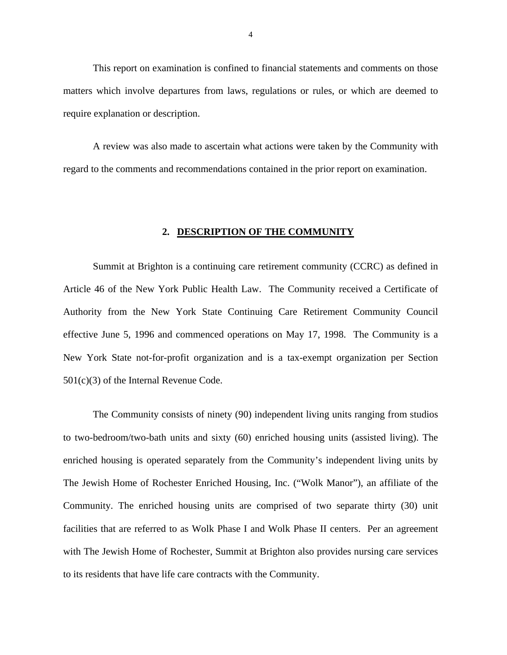<span id="page-5-0"></span>This report on examination is confined to financial statements and comments on those matters which involve departures from laws, regulations or rules, or which are deemed to require explanation or description.

A review was also made to ascertain what actions were taken by the Community with regard to the comments and recommendations contained in the prior report on examination.

## **2. DESCRIPTION OF THE COMMUNITY**

Summit at Brighton is a continuing care retirement community (CCRC) as defined in Article 46 of the New York Public Health Law. The Community received a Certificate of Authority from the New York State Continuing Care Retirement Community Council effective June 5, 1996 and commenced operations on May 17, 1998. The Community is a New York State not-for-profit organization and is a tax-exempt organization per Section 501(c)(3) of the Internal Revenue Code.

The Community consists of ninety (90) independent living units ranging from studios to two-bedroom/two-bath units and sixty (60) enriched housing units (assisted living). The enriched housing is operated separately from the Community's independent living units by The Jewish Home of Rochester Enriched Housing, Inc. ("Wolk Manor"), an affiliate of the Community. The enriched housing units are comprised of two separate thirty (30) unit facilities that are referred to as Wolk Phase I and Wolk Phase II centers. Per an agreement with The Jewish Home of Rochester, Summit at Brighton also provides nursing care services to its residents that have life care contracts with the Community.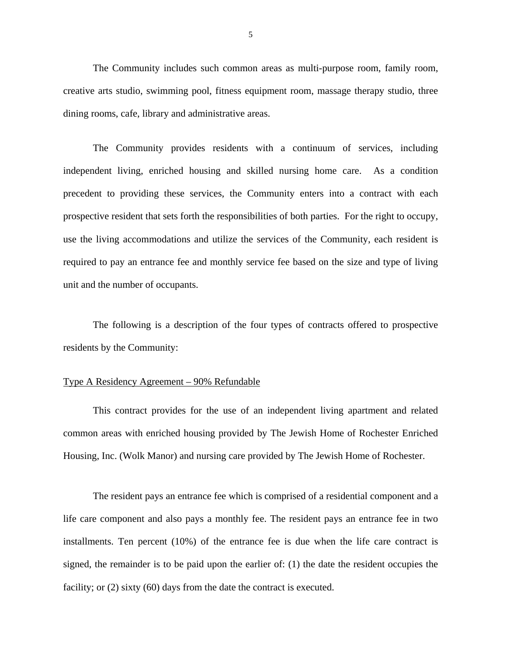The Community includes such common areas as multi-purpose room, family room, creative arts studio, swimming pool, fitness equipment room, massage therapy studio, three dining rooms, cafe, library and administrative areas.

The Community provides residents with a continuum of services, including independent living, enriched housing and skilled nursing home care. As a condition precedent to providing these services, the Community enters into a contract with each prospective resident that sets forth the responsibilities of both parties. For the right to occupy, use the living accommodations and utilize the services of the Community, each resident is required to pay an entrance fee and monthly service fee based on the size and type of living unit and the number of occupants.

The following is a description of the four types of contracts offered to prospective residents by the Community:

## Type A Residency Agreement – 90% Refundable

This contract provides for the use of an independent living apartment and related common areas with enriched housing provided by The Jewish Home of Rochester Enriched Housing, Inc. (Wolk Manor) and nursing care provided by The Jewish Home of Rochester.

The resident pays an entrance fee which is comprised of a residential component and a life care component and also pays a monthly fee. The resident pays an entrance fee in two installments. Ten percent (10%) of the entrance fee is due when the life care contract is signed, the remainder is to be paid upon the earlier of: (1) the date the resident occupies the facility; or (2) sixty (60) days from the date the contract is executed.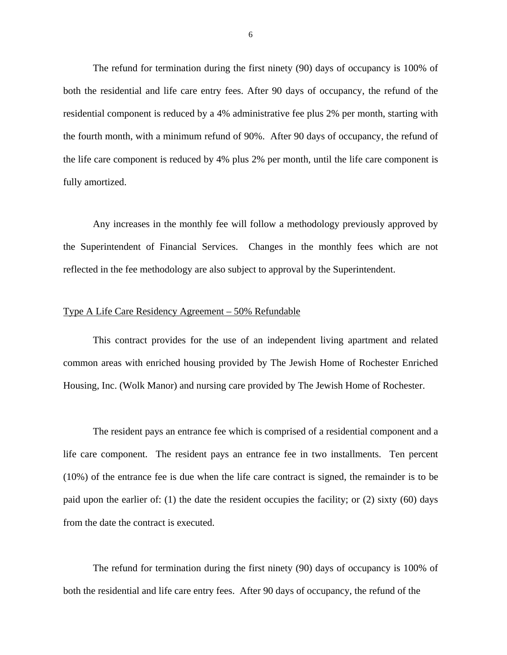The refund for termination during the first ninety (90) days of occupancy is 100% of both the residential and life care entry fees. After 90 days of occupancy, the refund of the residential component is reduced by a 4% administrative fee plus 2% per month, starting with the fourth month, with a minimum refund of 90%. After 90 days of occupancy, the refund of the life care component is reduced by 4% plus 2% per month, until the life care component is fully amortized.

Any increases in the monthly fee will follow a methodology previously approved by the Superintendent of Financial Services. Changes in the monthly fees which are not reflected in the fee methodology are also subject to approval by the Superintendent.

## Type A Life Care Residency Agreement – 50% Refundable

This contract provides for the use of an independent living apartment and related common areas with enriched housing provided by The Jewish Home of Rochester Enriched Housing, Inc. (Wolk Manor) and nursing care provided by The Jewish Home of Rochester.

from the date the contract is executed. The resident pays an entrance fee which is comprised of a residential component and a life care component. The resident pays an entrance fee in two installments. Ten percent (10%) of the entrance fee is due when the life care contract is signed, the remainder is to be paid upon the earlier of: (1) the date the resident occupies the facility; or (2) sixty (60) days

The refund for termination during the first ninety (90) days of occupancy is 100% of both the residential and life care entry fees. After 90 days of occupancy, the refund of the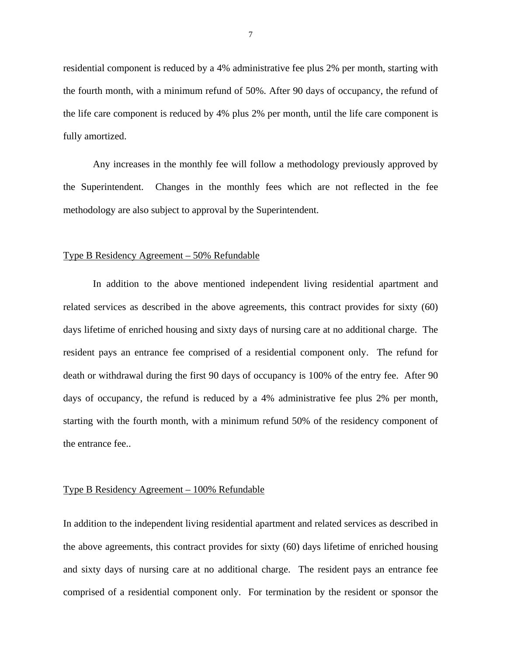fully amortized. residential component is reduced by a 4% administrative fee plus 2% per month, starting with the fourth month, with a minimum refund of 50%. After 90 days of occupancy, the refund of the life care component is reduced by 4% plus 2% per month, until the life care component is

Any increases in the monthly fee will follow a methodology previously approved by the Superintendent. Changes in the monthly fees which are not reflected in the fee methodology are also subject to approval by the Superintendent.

## Type B Residency Agreement – 50% Refundable

In addition to the above mentioned independent living residential apartment and related services as described in the above agreements, this contract provides for sixty (60) days lifetime of enriched housing and sixty days of nursing care at no additional charge. The resident pays an entrance fee comprised of a residential component only. The refund for death or withdrawal during the first 90 days of occupancy is 100% of the entry fee. After 90 days of occupancy, the refund is reduced by a 4% administrative fee plus 2% per month, starting with the fourth month, with a minimum refund 50% of the residency component of the entrance fee..

## Type B Residency Agreement – 100% Refundable

In addition to the independent living residential apartment and related services as described in the above agreements, this contract provides for sixty (60) days lifetime of enriched housing and sixty days of nursing care at no additional charge. The resident pays an entrance fee comprised of a residential component only. For termination by the resident or sponsor the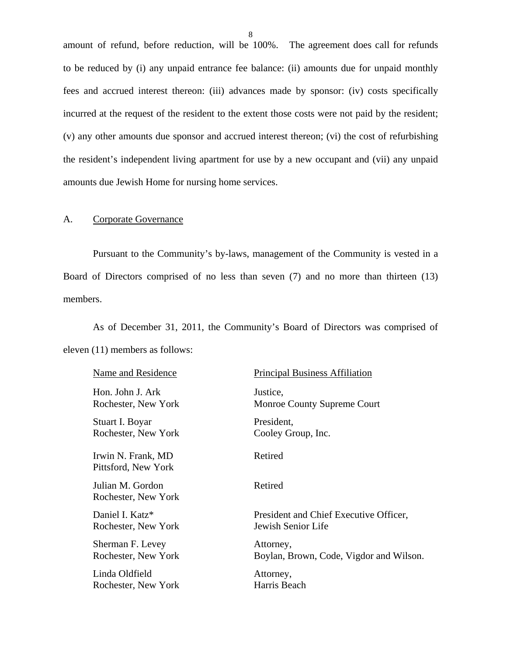<span id="page-9-0"></span>amount of refund, before reduction, will be 100%. The agreement does call for refunds to be reduced by (i) any unpaid entrance fee balance: (ii) amounts due for unpaid monthly fees and accrued interest thereon: (iii) advances made by sponsor: (iv) costs specifically incurred at the request of the resident to the extent those costs were not paid by the resident; (v) any other amounts due sponsor and accrued interest thereon; (vi) the cost of refurbishing the resident's independent living apartment for use by a new occupant and (vii) any unpaid amounts due Jewish Home for nursing home services.

## A. Corporate Governance

Pursuant to the Community's by-laws, management of the Community is vested in a Board of Directors comprised of no less than seven (7) and no more than thirteen (13) members.

As of December 31, 2011, the Community's Board of Directors was comprised of eleven (11) members as follows:

| Name and Residence                        | <b>Principal Business Affiliation</b>   |
|-------------------------------------------|-----------------------------------------|
| Hon. John J. Ark                          | Justice,                                |
| Rochester, New York                       | Monroe County Supreme Court             |
| Stuart I. Boyar                           | President,                              |
| Rochester, New York                       | Cooley Group, Inc.                      |
| Irwin N. Frank, MD<br>Pittsford, New York | Retired                                 |
| Julian M. Gordon<br>Rochester, New York   | Retired                                 |
| Daniel I. Katz*                           | President and Chief Executive Officer,  |
| Rochester, New York                       | Jewish Senior Life                      |
| Sherman F. Levey                          | Attorney,                               |
| Rochester, New York                       | Boylan, Brown, Code, Vigdor and Wilson. |
| Linda Oldfield                            | Attorney,                               |
| Rochester, New York                       | Harris Beach                            |
|                                           |                                         |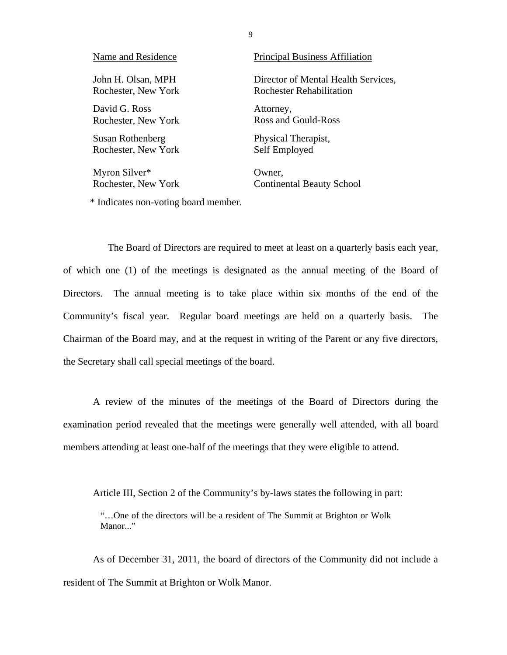| Name and Residence  | <b>Principal Business Affiliation</b> |
|---------------------|---------------------------------------|
| John H. Olsan, MPH  | Director of Mental Health Services,   |
| Rochester, New York | Rochester Rehabilitation              |
| David G. Ross       | Attorney,                             |
| Rochester, New York | Ross and Gould-Ross                   |
| Susan Rothenberg    | Physical Therapist,                   |
| Rochester, New York | Self Employed                         |
| Myron Silver*       | Owner.                                |

Rochester, New York Continental Beauty School

\* Indicates non-voting board member.

The Board of Directors are required to meet at least on a quarterly basis each year, of which one (1) of the meetings is designated as the annual meeting of the Board of Directors. The annual meeting is to take place within six months of the end of the Community's fiscal year. Regular board meetings are held on a quarterly basis. The Chairman of the Board may, and at the request in writing of the Parent or any five directors, the Secretary shall call special meetings of the board.

A review of the minutes of the meetings of the Board of Directors during the examination period revealed that the meetings were generally well attended, with all board members attending at least one-half of the meetings that they were eligible to attend.

Article III, Section 2 of the Community's by-laws states the following in part:

"…One of the directors will be a resident of The Summit at Brighton or Wolk Manor..."

As of December 31, 2011, the board of directors of the Community did not include a resident of The Summit at Brighton or Wolk Manor.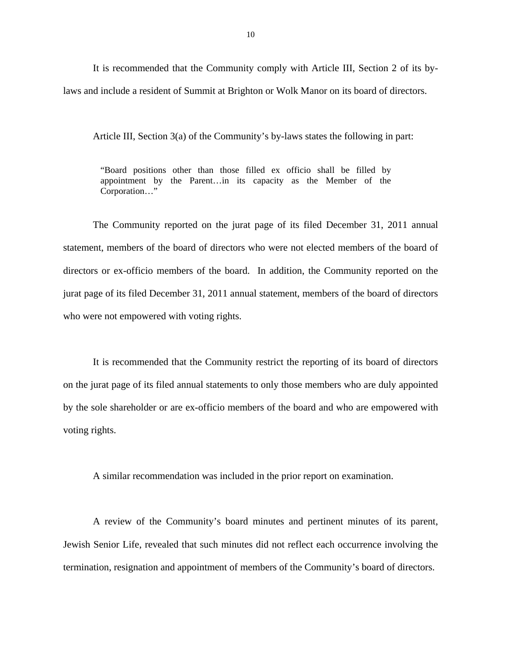It is recommended that the Community comply with Article III, Section 2 of its bylaws and include a resident of Summit at Brighton or Wolk Manor on its board of directors.

Article III, Section 3(a) of the Community's by-laws states the following in part:

"Board positions other than those filled ex officio shall be filled by appointment by the Parent…in its capacity as the Member of the Corporation…"

The Community reported on the jurat page of its filed December 31, 2011 annual statement, members of the board of directors who were not elected members of the board of directors or ex-officio members of the board. In addition, the Community reported on the jurat page of its filed December 31, 2011 annual statement, members of the board of directors who were not empowered with voting rights.

It is recommended that the Community restrict the reporting of its board of directors on the jurat page of its filed annual statements to only those members who are duly appointed by the sole shareholder or are ex-officio members of the board and who are empowered with voting rights.

A similar recommendation was included in the prior report on examination.

A review of the Community's board minutes and pertinent minutes of its parent, Jewish Senior Life, revealed that such minutes did not reflect each occurrence involving the termination, resignation and appointment of members of the Community's board of directors.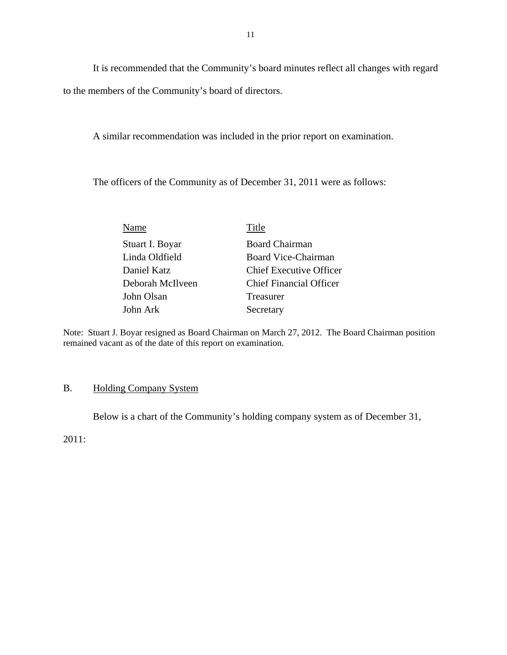It is recommended that the Community's board minutes reflect all changes with regard to the members of the Community's board of directors.

A similar recommendation was included in the prior report on examination.

The officers of the Community as of December 31, 2011 were as follows:

| Name             | Title                          |
|------------------|--------------------------------|
| Stuart I. Boyar  | <b>Board Chairman</b>          |
| Linda Oldfield   | <b>Board Vice-Chairman</b>     |
| Daniel Katz      | <b>Chief Executive Officer</b> |
| Deborah McIlveen | <b>Chief Financial Officer</b> |
| John Olsan       | Treasurer                      |
| John Ark         | Secretary                      |

Note: Stuart J. Boyar resigned as Board Chairman on March 27, 2012. The Board Chairman position remained vacant as of the date of this report on examination.

# B. Holding Company System

Below is a chart of the Community's holding company system as of December 31,

2011: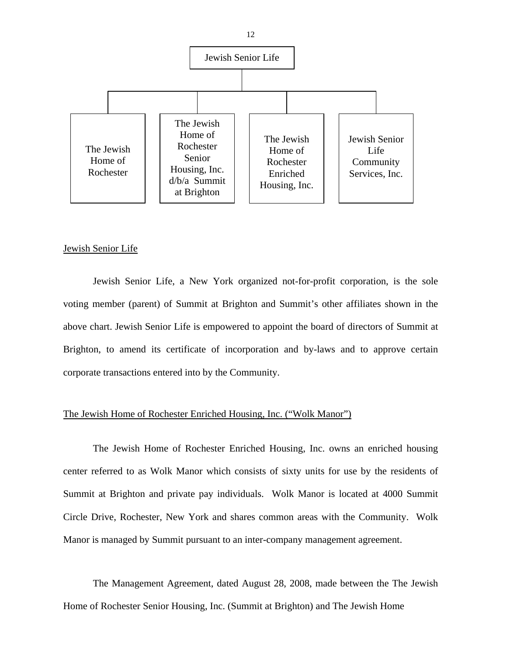

## Jewish Senior Life

Jewish Senior Life, a New York organized not-for-profit corporation, is the sole voting member (parent) of Summit at Brighton and Summit's other affiliates shown in the above chart. Jewish Senior Life is empowered to appoint the board of directors of Summit at Brighton, to amend its certificate of incorporation and by-laws and to approve certain corporate transactions entered into by the Community.

## The Jewish Home of Rochester Enriched Housing, Inc. ("Wolk Manor")

The Jewish Home of Rochester Enriched Housing, Inc. owns an enriched housing center referred to as Wolk Manor which consists of sixty units for use by the residents of Summit at Brighton and private pay individuals. Wolk Manor is located at 4000 Summit Circle Drive, Rochester, New York and shares common areas with the Community. Wolk Manor is managed by Summit pursuant to an inter-company management agreement.

 Home of Rochester Senior Housing, Inc. (Summit at Brighton) and The Jewish Home The Management Agreement, dated August 28, 2008, made between the The Jewish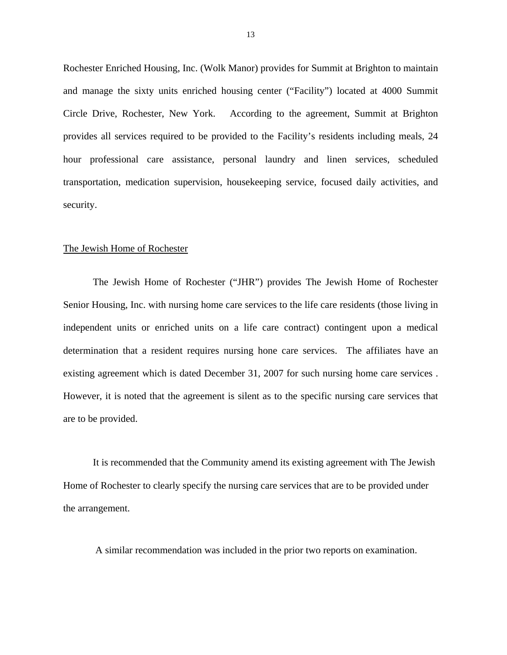Rochester Enriched Housing, Inc. (Wolk Manor) provides for Summit at Brighton to maintain and manage the sixty units enriched housing center ("Facility") located at 4000 Summit Circle Drive, Rochester, New York. According to the agreement, Summit at Brighton provides all services required to be provided to the Facility's residents including meals, 24 hour professional care assistance, personal laundry and linen services, scheduled transportation, medication supervision, housekeeping service, focused daily activities, and security.

## The Jewish Home of Rochester

existing agreement which is dated December 31, 2007 for such nursing home care services. The Jewish Home of Rochester ("JHR") provides The Jewish Home of Rochester Senior Housing, Inc. with nursing home care services to the life care residents (those living in independent units or enriched units on a life care contract) contingent upon a medical determination that a resident requires nursing hone care services. The affiliates have an However, it is noted that the agreement is silent as to the specific nursing care services that are to be provided.

It is recommended that the Community amend its existing agreement with The Jewish Home of Rochester to clearly specify the nursing care services that are to be provided under the arrangement.

A similar recommendation was included in the prior two reports on examination.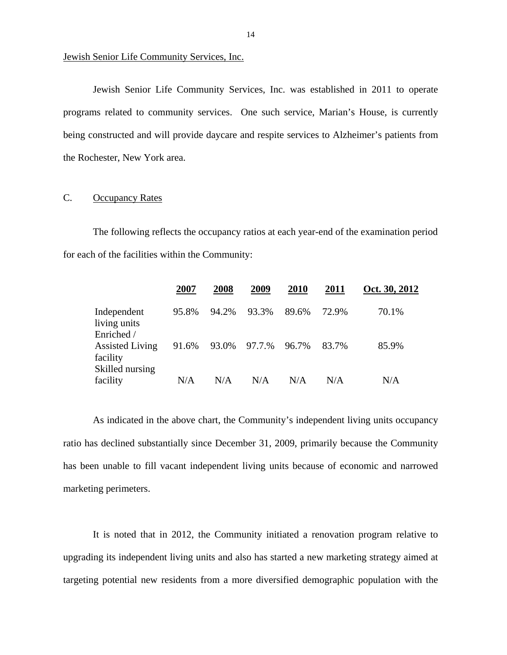<span id="page-15-0"></span>Jewish Senior Life Community Services, Inc.

Jewish Senior Life Community Services, Inc. was established in 2011 to operate programs related to community services. One such service, Marian's House, is currently being constructed and will provide daycare and respite services to Alzheimer's patients from the Rochester, New York area.

## C. Occupancy Rates

The following reflects the occupancy ratios at each year-end of the examination period for each of the facilities within the Community:

|                                                       | 2007  | 2008  | 2009   | 2010  | 2011  | Oct. 30, 2012 |
|-------------------------------------------------------|-------|-------|--------|-------|-------|---------------|
| Independent<br>living units<br>Enriched /             | 95.8% | 94.2% | 93.3%  | 89.6% | 72.9% | 70.1%         |
| <b>Assisted Living</b><br>facility<br>Skilled nursing | 91.6% | 93.0% | 97.7.% | 96.7% | 83.7% | 85.9%         |
| facility                                              | N/A   | N/A   | N/A    | N/A   | N/A   | N/A           |

As indicated in the above chart, the Community's independent living units occupancy ratio has declined substantially since December 31, 2009, primarily because the Community has been unable to fill vacant independent living units because of economic and narrowed marketing perimeters.

It is noted that in 2012, the Community initiated a renovation program relative to upgrading its independent living units and also has started a new marketing strategy aimed at targeting potential new residents from a more diversified demographic population with the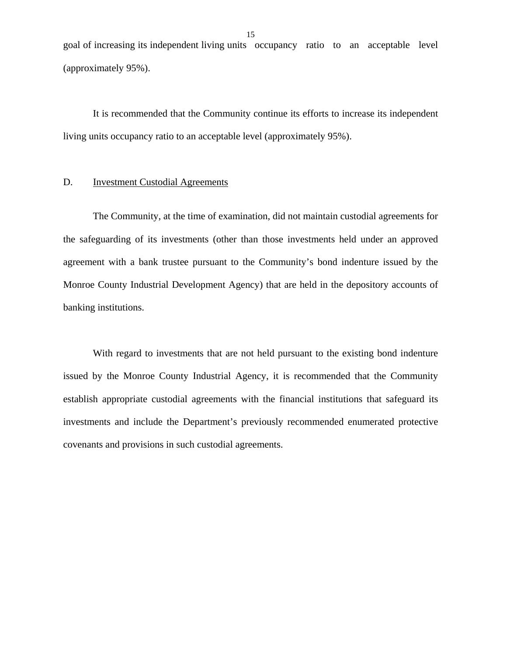<span id="page-16-0"></span>goal of increasing its independent living units occupancy ratio to an acceptable level (approximately 95%).

It is recommended that the Community continue its efforts to increase its independent living units occupancy ratio to an acceptable level (approximately 95%).

## D. **Investment Custodial Agreements**

The Community, at the time of examination, did not maintain custodial agreements for the safeguarding of its investments (other than those investments held under an approved agreement with a bank trustee pursuant to the Community's bond indenture issued by the Monroe County Industrial Development Agency) that are held in the depository accounts of banking institutions.

With regard to investments that are not held pursuant to the existing bond indenture issued by the Monroe County Industrial Agency, it is recommended that the Community establish appropriate custodial agreements with the financial institutions that safeguard its investments and include the Department's previously recommended enumerated protective covenants and provisions in such custodial agreements.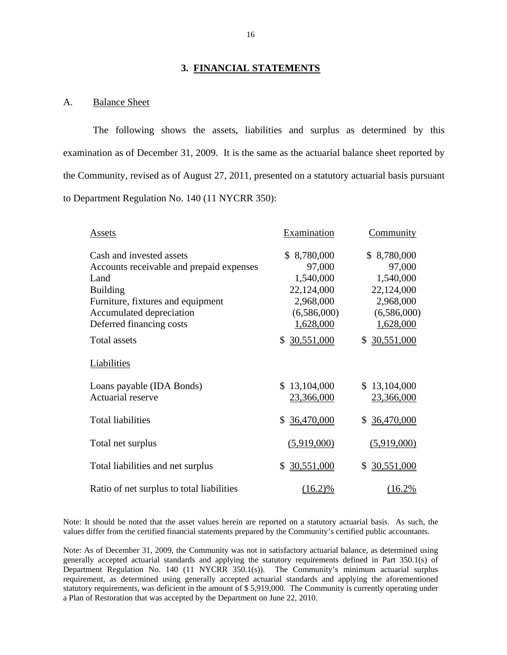## **3. FINANCIAL STATEMENTS**

## A. Balance Sheet

The following shows the assets, liabilities and surplus as determined by this examination as of December 31, 2009. It is the same as the actuarial balance sheet reported by the Community, revised as of August 27, 2011, presented on a statutory actuarial basis pursuant to Department Regulation No. 140 (11 NYCRR 350):

| Assets                                    | Examination      | <b>Community</b> |
|-------------------------------------------|------------------|------------------|
| Cash and invested assets                  | \$8,780,000      | \$8,780,000      |
| Accounts receivable and prepaid expenses  | 97,000           | 97,000           |
| Land                                      | 1,540,000        | 1,540,000        |
| <b>Building</b>                           | 22,124,000       | 22,124,000       |
| Furniture, fixtures and equipment         | 2,968,000        | 2,968,000        |
| Accumulated depreciation                  | (6,586,000)      | (6,586,000)      |
| Deferred financing costs                  | 1,628,000        | 1,628,000        |
| <b>Total assets</b>                       | \$30,551,000     | \$30,551,000     |
| Liabilities                               |                  |                  |
| Loans payable (IDA Bonds)                 | \$13,104,000     | \$13,104,000     |
| Actuarial reserve                         | 23,366,000       | 23,366,000       |
| <b>Total liabilities</b>                  | 36,470,000<br>\$ | 36,470,000<br>\$ |
| Total net surplus                         | (5,919,000)      | (5,919,000)      |
| Total liabilities and net surplus         | 30,551,000<br>\$ | 30,551,000<br>\$ |
| Ratio of net surplus to total liabilities | $(16.2)\%$       | (16.2%           |

Note: It should be noted that the asset values herein are reported on a statutory actuarial basis. As such, the values differ from the certified financial statements prepared by the Community's certified public accountants.

 Department Regulation No. 140 (11 NYCRR 350.1(s)). The Community's minimum actuarial surplus Note: As of December 31, 2009, the Community was not in satisfactory actuarial balance, as determined using generally accepted actuarial standards and applying the statutory requirements defined in Part 350.1(s) of requirement, as determined using generally accepted actuarial standards and applying the aforementioned statutory requirements, was deficient in the amount of \$ 5,919,000. The Community is currently operating under a Plan of Restoration that was accepted by the Department on June 22, 2010.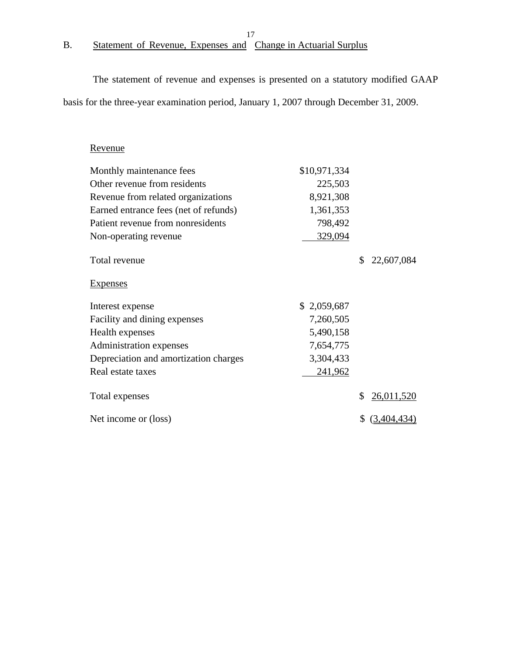## 17

# <span id="page-18-0"></span>B. Statement of Revenue, Expenses and Change in Actuarial Surplus

The statement of revenue and expenses is presented on a statutory modified GAAP basis for the three-year examination period, January 1, 2007 through December 31, 2009.

# Revenue

| Monthly maintenance fees              | \$10,971,334   |    |            |
|---------------------------------------|----------------|----|------------|
| Other revenue from residents          | 225,503        |    |            |
| Revenue from related organizations    | 8,921,308      |    |            |
| Earned entrance fees (net of refunds) | 1,361,353      |    |            |
| Patient revenue from nonresidents     | 798,492        |    |            |
| Non-operating revenue                 | 329,094        |    |            |
| Total revenue                         |                | S. | 22,607,084 |
| <b>Expenses</b>                       |                |    |            |
| Interest expense                      | \$2,059,687    |    |            |
| Facility and dining expenses          | 7,260,505      |    |            |
| Health expenses                       | 5,490,158      |    |            |
| Administration expenses               | 7,654,775      |    |            |
|                                       |                |    |            |
| Depreciation and amortization charges | 3,304,433      |    |            |
| Real estate taxes                     | <u>241,962</u> |    |            |
| Total expenses                        |                | \$ | 26,011,520 |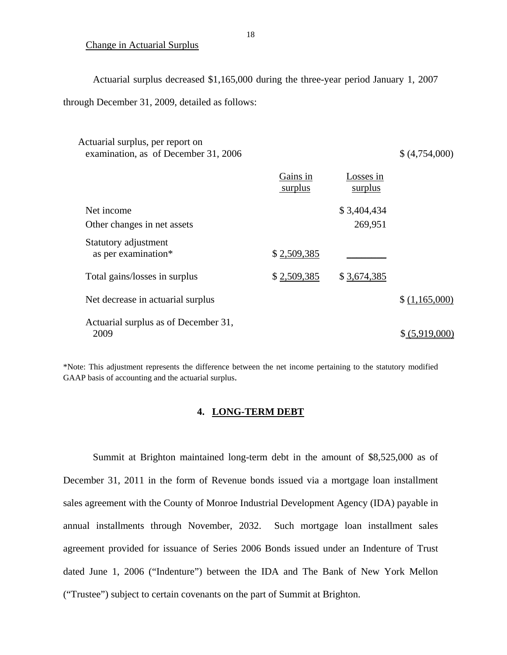## Change in Actuarial Surplus

Actuarial surplus decreased \$1,165,000 during the three-year period January 1, 2007

through December 31, 2009, detailed as follows:

| Actuarial surplus, per report on<br>examination, as of December 31, 2006 |                     |                        | \$(4,754,000)  |
|--------------------------------------------------------------------------|---------------------|------------------------|----------------|
|                                                                          | Gains in<br>surplus | Losses in<br>surplus   |                |
| Net income<br>Other changes in net assets                                |                     | \$3,404,434<br>269,951 |                |
| Statutory adjustment<br>as per examination*                              | \$2,509,385         |                        |                |
| Total gains/losses in surplus                                            | \$2,509,385         | \$3,674,385            |                |
| Net decrease in actuarial surplus                                        |                     |                        | \$(1,165,000)  |
| Actuarial surplus as of December 31,<br>2009                             |                     |                        | \$ (5,919,000) |

\*Note: This adjustment represents the difference between the net income pertaining to the statutory modified GAAP basis of accounting and the actuarial surplus.

## **4. LONG-TERM DEBT**

Summit at Brighton maintained long-term debt in the amount of \$8,525,000 as of December 31, 2011 in the form of Revenue bonds issued via a mortgage loan installment sales agreement with the County of Monroe Industrial Development Agency (IDA) payable in annual installments through November, 2032. Such mortgage loan installment sales agreement provided for issuance of Series 2006 Bonds issued under an Indenture of Trust dated June 1, 2006 ("Indenture") between the IDA and The Bank of New York Mellon ("Trustee") subject to certain covenants on the part of Summit at Brighton.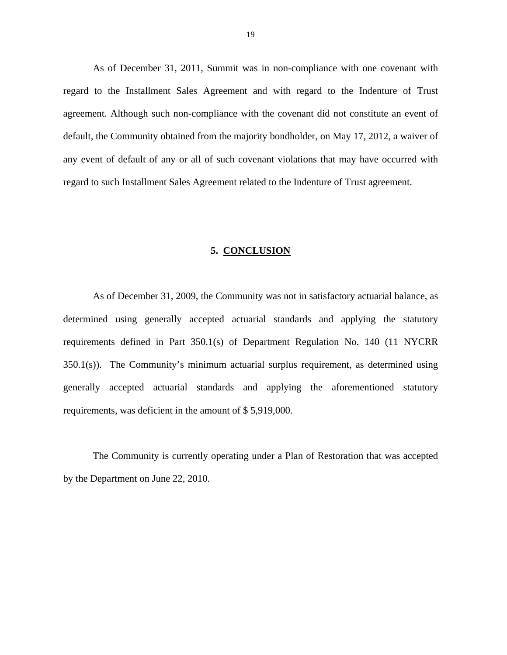<span id="page-20-0"></span>As of December 31, 2011, Summit was in non-compliance with one covenant with regard to the Installment Sales Agreement and with regard to the Indenture of Trust agreement. Although such non-compliance with the covenant did not constitute an event of default, the Community obtained from the majority bondholder, on May 17, 2012, a waiver of any event of default of any or all of such covenant violations that may have occurred with regard to such Installment Sales Agreement related to the Indenture of Trust agreement.

## **5. CONCLUSION**

As of December 31, 2009, the Community was not in satisfactory actuarial balance, as determined using generally accepted actuarial standards and applying the statutory requirements defined in Part 350.1(s) of Department Regulation No. 140 (11 NYCRR 350.1(s)). The Community's minimum actuarial surplus requirement, as determined using generally accepted actuarial standards and applying the aforementioned statutory requirements, was deficient in the amount of \$ 5,919,000.

The Community is currently operating under a Plan of Restoration that was accepted by the Department on June 22, 2010.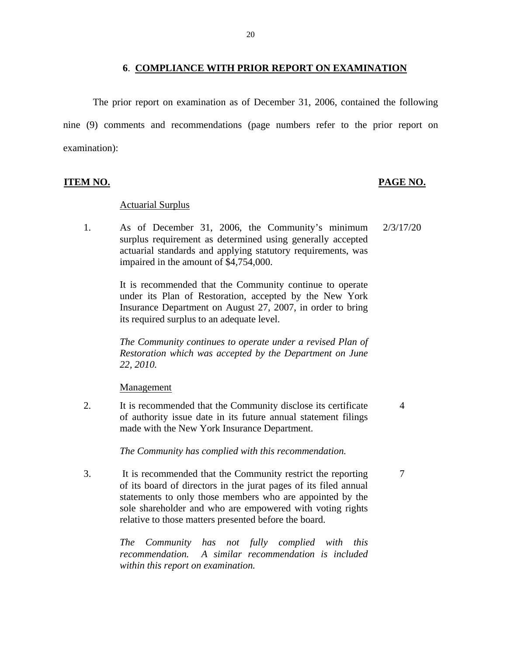## **6**. **COMPLIANCE WITH PRIOR REPORT ON EXAMINATION**

<span id="page-21-0"></span>The prior report on examination as of December 31, 2006, contained the following nine (9) comments and recommendations (page numbers refer to the prior report on examination):

## Actuarial Surplus

1. As of December 31, 2006, the Community's minimum 2/3/17/20 surplus requirement as determined using generally accepted actuarial standards and applying statutory requirements, was impaired in the amount of \$4,754,000.

> It is recommended that the Community continue to operate under its Plan of Restoration, accepted by the New York Insurance Department on August 27, 2007, in order to bring its required surplus to an adequate level.

> *The Community continues to operate under a revised Plan of Restoration which was accepted by the Department on June 22, 2010.*

Management

2. It is recommended that the Community disclose its certificate 4 of authority issue date in its future annual statement filings made with the New York Insurance Department.

*The Community has complied with this recommendation.* 

3. It is recommended that the Community restrict the reporting 7 of its board of directors in the jurat pages of its filed annual statements to only those members who are appointed by the sole shareholder and who are empowered with voting rights relative to those matters presented before the board.

> *The Community has not fully complied with this recommendation. A similar recommendation is included within this report on examination.*

**ITEM NO. PAGE NO.**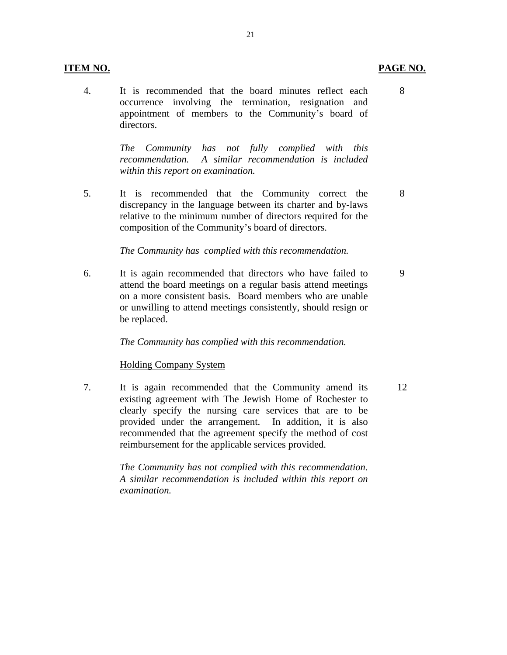## **ITEM NO. PAGE NO.**

4. It is recommended that the board minutes reflect each 8 occurrence involving the termination, resignation and appointment of members to the Community's board of directors.

> *The Community has not fully complied with this recommendation. A similar recommendation is included within this report on examination.*

5. It is recommended that the Community correct the 8 discrepancy in the language between its charter and by-laws relative to the minimum number of directors required for the composition of the Community's board of directors.

*The Community has complied with this recommendation.* 

6. It is again recommended that directors who have failed to 9 attend the board meetings on a regular basis attend meetings on a more consistent basis. Board members who are unable or unwilling to attend meetings consistently, should resign or be replaced.

*The Community has complied with this recommendation.* 

## Holding Company System

7. It is again recommended that the Community amend its 12 existing agreement with The Jewish Home of Rochester to clearly specify the nursing care services that are to be provided under the arrangement. In addition, it is also recommended that the agreement specify the method of cost reimbursement for the applicable services provided.

> *The Community has not complied with this recommendation. A similar recommendation is included within this report on examination.*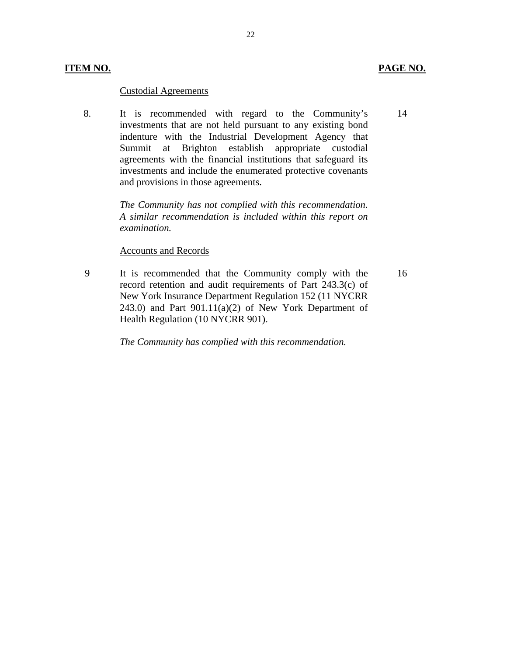8. It is recommended with regard to the Community's investments that are not held pursuant to any existing bond indenture with the Industrial Development Agency that Summit at Brighton establish appropriate custodial agreements with the financial institutions that safeguard its investments and include the enumerated protective covenants and provisions in those agreements.

> *The Community has not complied with this recommendation. A similar recommendation is included within this report on examination.*

## Accounts and Records

9 It is recommended that the Community comply with the record retention and audit requirements of Part 243.3(c) of New York Insurance Department Regulation 152 (11 NYCRR 243.0) and Part  $901.11(a)(2)$  of New York Department of Health Regulation (10 NYCRR 901).

*The Community has complied with this recommendation.* 

14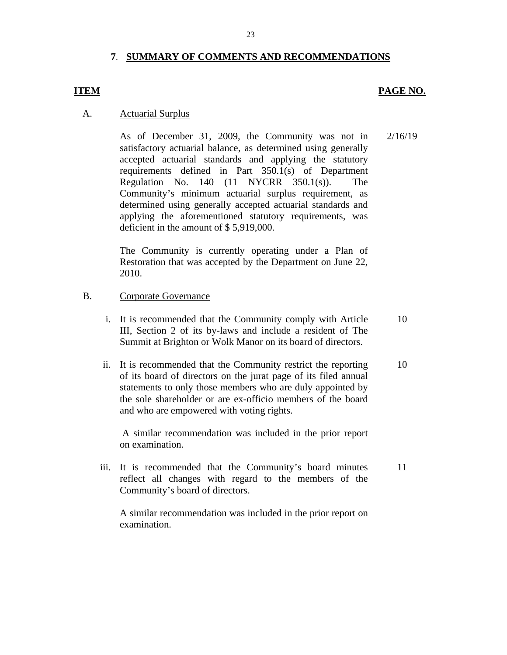## **7**. **SUMMARY OF COMMENTS AND RECOMMENDATIONS**

## **ITEM PAGE NO.**

## A. Actuarial Surplus

As of December 31, 2009, the Community was not in satisfactory actuarial balance, as determined using generally accepted actuarial standards and applying the statutory requirements defined in Part 350.1(s) of Department Regulation No. 140 (11 NYCRR 350.1(s)). The Community's minimum actuarial surplus requirement, as determined using generally accepted actuarial standards and applying the aforementioned statutory requirements, was deficient in the amount of \$ 5,919,000. 2/16/19

The Community is currently operating under a Plan of Restoration that was accepted by the Department on June 22, 2010.

## B. Corporate Governance

- i. It is recommended that the Community comply with Article III, Section 2 of its by-laws and include a resident of The Summit at Brighton or Wolk Manor on its board of directors. 10
- ii. It is recommended that the Community restrict the reporting of its board of directors on the jurat page of its filed annual statements to only those members who are duly appointed by the sole shareholder or are ex-officio members of the board and who are empowered with voting rights. 10

A similar recommendation was included in the prior report on examination.

iii. It is recommended that the Community's board minutes reflect all changes with regard to the members of the Community's board of directors. 11

A similar recommendation was included in the prior report on examination.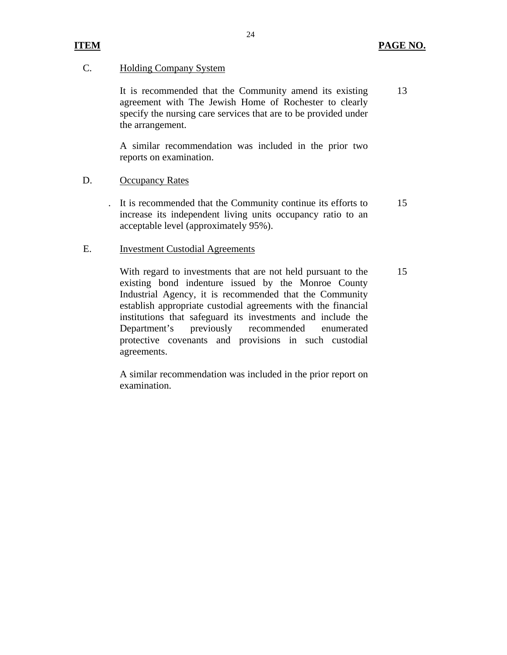15

### C. Holding Company System

It is recommended that the Community amend its existing agreement with The Jewish Home of Rochester to clearly specify the nursing care services that are to be provided under the arrangement. 13

A similar recommendation was included in the prior two reports on examination.

### D. **Occupancy Rates**

. It is recommended that the Community continue its efforts to increase its independent living units occupancy ratio to an acceptable level (approximately 95%). 15

### E. Investment Custodial Agreements

With regard to investments that are not held pursuant to the existing bond indenture issued by the Monroe County Industrial Agency, it is recommended that the Community establish appropriate custodial agreements with the financial institutions that safeguard its investments and include the Department's previously recommended enumerated protective covenants and provisions in such custodial agreements.

A similar recommendation was included in the prior report on examination.